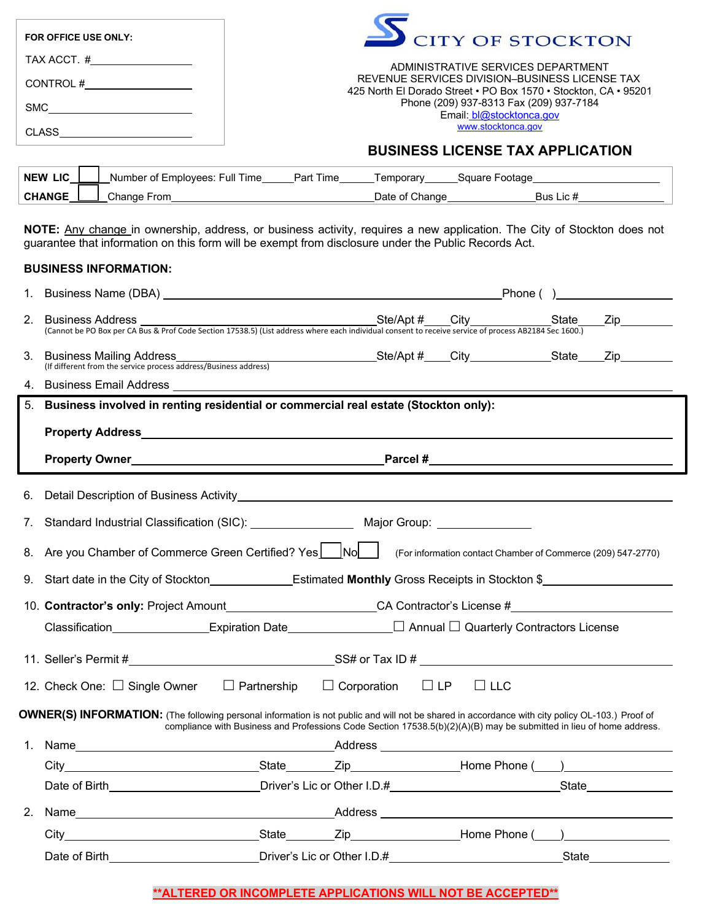| FOR OFFICE USE ONLY: | CITY OF STOCKTON                                                                                                  |
|----------------------|-------------------------------------------------------------------------------------------------------------------|
| TAX ACCT. #          | ADMINISTRATIVE SERVICES DEPARTMENT                                                                                |
| CONTROL#             | REVENUE SERVICES DIVISION-BUSINESS LICENSE TAX<br>425 North El Dorado Street • PO Box 1570 • Stockton, CA • 95201 |
| <b>SMC</b>           | Phone (209) 937-8313 Fax (209) 937-7184<br>Email: bl@stocktonca.gov                                               |
| <b>CLASS</b>         | www.stocktonca.gov                                                                                                |
|                      | <b>BUSINESS LICENSE TAX APPLICATION</b>                                                                           |

# NEW LIC <u>Number of Employees: Full Time Part Time Temporary Square Footage Number 2014</u> CHANGE CHANGE Change From CHANGE CHANGE Change CHANGE Change Bus Lic #

**NOTE:** Any change in ownership, address, or business activity, requires a new application. The City of Stockton does not guarantee that information on this form will be exempt from disclosure under the Public Records Act.

### **BUSINESS INFORMATION:**

| 2. |                                                                                                                                                                                                                                                                        |  |            |  |  |  |
|----|------------------------------------------------------------------------------------------------------------------------------------------------------------------------------------------------------------------------------------------------------------------------|--|------------|--|--|--|
|    | Dusiniess Mailing Address<br>(If different from the service process address/Business address)<br>(If different from the service process address/Business address)<br>3. Business Mailing Address                                                                       |  |            |  |  |  |
|    |                                                                                                                                                                                                                                                                        |  |            |  |  |  |
| 5. | Business involved in renting residential or commercial real estate (Stockton only):                                                                                                                                                                                    |  |            |  |  |  |
|    |                                                                                                                                                                                                                                                                        |  |            |  |  |  |
|    | Property Owner example and the contract of the Parcel #                                                                                                                                                                                                                |  |            |  |  |  |
| 6. |                                                                                                                                                                                                                                                                        |  |            |  |  |  |
| 7. |                                                                                                                                                                                                                                                                        |  |            |  |  |  |
| 8. | Are you Chamber of Commerce Green Certified? Yes LINO I (For information contact Chamber of Commerce (209) 547-2770)                                                                                                                                                   |  |            |  |  |  |
|    | 9. Start date in the City of Stockton Estimated Monthly Gross Receipts in Stockton \$                                                                                                                                                                                  |  |            |  |  |  |
|    | 10. Contractor's only: Project Amount____________________________CA Contractor's License #____________________                                                                                                                                                         |  |            |  |  |  |
|    |                                                                                                                                                                                                                                                                        |  |            |  |  |  |
|    |                                                                                                                                                                                                                                                                        |  |            |  |  |  |
|    | 12. Check One: $\Box$ Single Owner $\Box$ Partnership $\Box$ Corporation $\Box$ LP                                                                                                                                                                                     |  | $\Box$ LLC |  |  |  |
|    | OWNER(S) INFORMATION: (The following personal information is not public and will not be shared in accordance with city policy OL-103.) Proof of<br>compliance with Business and Professions Code Section 17538.5(b)(2)(A)(B) may be submitted in lieu of home address. |  |            |  |  |  |
| 1. |                                                                                                                                                                                                                                                                        |  |            |  |  |  |
|    |                                                                                                                                                                                                                                                                        |  |            |  |  |  |
|    |                                                                                                                                                                                                                                                                        |  |            |  |  |  |
| 2. | Name Address Address Address Address Address Address Address Address Address Address Address Address Address Address Address Address Address Address Address Address Address Address Address Address Address Address Address A                                         |  |            |  |  |  |
|    | City Communication City City Communication City City City Communication City Communication City Communication City Communication City Communication City Communication City Communication City Communication City Communicatio                                         |  |            |  |  |  |
|    |                                                                                                                                                                                                                                                                        |  |            |  |  |  |

## **\*\*ALTERED OR INCOMPLETE APPLICATIONS WILL NOT BE ACCEPTED\*\***